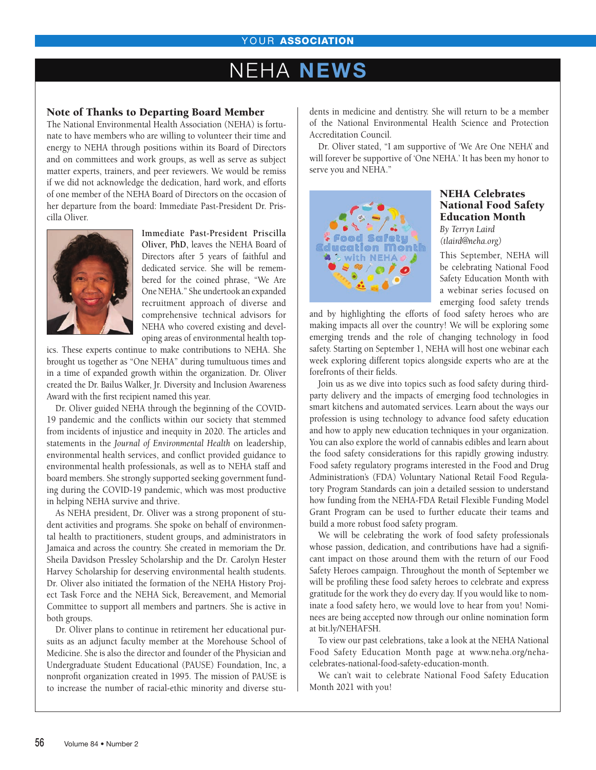### YOUR ASSOCIATION

# FHA NEWS

### Note of Thanks to Departing Board Member

The National Environmental Health Association (NEHA) is fortunate to have members who are willing to volunteer their time and energy to NEHA through positions within its Board of Directors and on committees and work groups, as well as serve as subject matter experts, trainers, and peer reviewers. We would be remiss if we did not acknowledge the dedication, hard work, and efforts of one member of the NEHA Board of Directors on the occasion of her departure from the board: Immediate Past-President Dr. Priscilla Oliver.



**Immediate Past-President Priscilla Oliver, PhD,** leaves the NEHA Board of Directors after 5 years of faithful and dedicated service. She will be remembered for the coined phrase, "We Are One NEHA." She undertook an expanded recruitment approach of diverse and comprehensive technical advisors for NEHA who covered existing and developing areas of environmental health top-

ics. These experts continue to make contributions to NEHA. She brought us together as "One NEHA" during tumultuous times and in a time of expanded growth within the organization. Dr. Oliver created the Dr. Bailus Walker, Jr. Diversity and Inclusion Awareness Award with the first recipient named this year.

Dr. Oliver guided NEHA through the beginning of the COVID-19 pandemic and the conflicts within our society that stemmed from incidents of injustice and inequity in 2020. The articles and statements in the *Journal of Environmental Health* on leadership, environmental health services, and conflict provided guidance to environmental health professionals, as well as to NEHA staff and board members. She strongly supported seeking government funding during the COVID-19 pandemic, which was most productive in helping NEHA survive and thrive.

As NEHA president, Dr. Oliver was a strong proponent of student activities and programs. She spoke on behalf of environmental health to practitioners, student groups, and administrators in Jamaica and across the country. She created in memoriam the Dr. Sheila Davidson Pressley Scholarship and the Dr. Carolyn Hester Harvey Scholarship for deserving environmental health students. Dr. Oliver also initiated the formation of the NEHA History Project Task Force and the NEHA Sick, Bereavement, and Memorial Committee to support all members and partners. She is active in both groups.

Dr. Oliver plans to continue in retirement her educational pursuits as an adjunct faculty member at the Morehouse School of Medicine. She is also the director and founder of the Physician and Undergraduate Student Educational (PAUSE) Foundation, Inc, a nonprofit organization created in 1995. The mission of PAUSE is to increase the number of racial-ethic minority and diverse students in medicine and dentistry. She will return to be a member of the National Environmental Health Science and Protection Accreditation Council.

Dr. Oliver stated, "I am supportive of 'We Are One NEHA' and will forever be supportive of 'One NEHA.' It has been my honor to serve you and NEHA."



### NEHA Celebrates National Food Safety Education Month

*By Terryn Laird (tlaird@neha.org)*

This September, NEHA will be celebrating National Food Safety Education Month with a webinar series focused on emerging food safety trends

and by highlighting the efforts of food safety heroes who are making impacts all over the country! We will be exploring some emerging trends and the role of changing technology in food safety. Starting on September 1, NEHA will host one webinar each week exploring different topics alongside experts who are at the forefronts of their fields.

Join us as we dive into topics such as food safety during thirdparty delivery and the impacts of emerging food technologies in smart kitchens and automated services. Learn about the ways our profession is using technology to advance food safety education and how to apply new education techniques in your organization. You can also explore the world of cannabis edibles and learn about the food safety considerations for this rapidly growing industry. Food safety regulatory programs interested in the Food and Drug Administration's (FDA) Voluntary National Retail Food Regulatory Program Standards can join a detailed session to understand how funding from the NEHA-FDA Retail Flexible Funding Model Grant Program can be used to further educate their teams and build a more robust food safety program.

We will be celebrating the work of food safety professionals whose passion, dedication, and contributions have had a significant impact on those around them with the return of our Food Safety Heroes campaign. Throughout the month of September we will be profiling these food safety heroes to celebrate and express gratitude for the work they do every day. If you would like to nominate a food safety hero, we would love to hear from you! Nominees are being accepted now through our online nomination form at bit.ly/NEHAFSH.

To view our past celebrations, take a look at the NEHA National Food Safety Education Month page at www.neha.org/nehacelebrates-national-food-safety-education-month.

We can't wait to celebrate National Food Safety Education Month 2021 with you!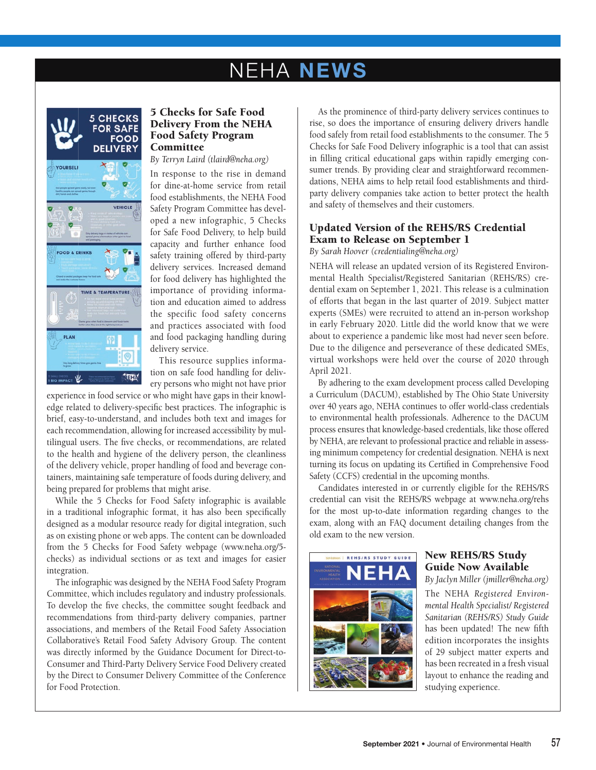# **NEHA NEWS**



### 5 Checks for Safe Food Delivery From the NEHA Food Safety Program Committee

*By Terryn Laird (tlaird@neha.org)*

In response to the rise in demand for dine-at-home service from retail food establishments, the NEHA Food Safety Program Committee has developed a new infographic, 5 Checks for Safe Food Delivery, to help build capacity and further enhance food safety training offered by third-party delivery services. Increased demand for food delivery has highlighted the importance of providing information and education aimed to address the specific food safety concerns and practices associated with food and food packaging handling during delivery service.

This resource supplies information on safe food handling for delivery persons who might not have prior

experience in food service or who might have gaps in their knowledge related to delivery-specific best practices. The infographic is brief, easy-to-understand, and includes both text and images for each recommendation, allowing for increased accessibility by multilingual users. The five checks, or recommendations, are related to the health and hygiene of the delivery person, the cleanliness of the delivery vehicle, proper handling of food and beverage containers, maintaining safe temperature of foods during delivery, and being prepared for problems that might arise.

While the 5 Checks for Food Safety infographic is available in a traditional infographic format, it has also been specifically designed as a modular resource ready for digital integration, such as on existing phone or web apps. The content can be downloaded from the 5 Checks for Food Safety webpage (www.neha.org/5 checks) as individual sections or as text and images for easier integration.

The infographic was designed by the NEHA Food Safety Program Committee, which includes regulatory and industry professionals. To develop the five checks, the committee sought feedback and recommendations from third-party delivery companies, partner associations, and members of the Retail Food Safety Association Collaborative's Retail Food Safety Advisory Group. The content was directly informed by the Guidance Document for Direct-to-Consumer and Third-Party Delivery Service Food Delivery created by the Direct to Consumer Delivery Committee of the Conference for Food Protection.

As the prominence of third-party delivery services continues to rise, so does the importance of ensuring delivery drivers handle food safely from retail food establishments to the consumer. The 5 Checks for Safe Food Delivery infographic is a tool that can assist in filling critical educational gaps within rapidly emerging consumer trends. By providing clear and straightforward recommendations, NEHA aims to help retail food establishments and thirdparty delivery companies take action to better protect the health and safety of themselves and their customers.

## Updated Version of the REHS/RS Credential Exam to Release on September 1

*By Sarah Hoover (credentialing@neha.org)*

NEHA will release an updated version of its Registered Environmental Health Specialist/Registered Sanitarian (REHS/RS) credential exam on September 1, 2021. This release is a culmination of efforts that began in the last quarter of 2019. Subject matter experts (SMEs) were recruited to attend an in-person workshop in early February 2020. Little did the world know that we were about to experience a pandemic like most had never seen before. Due to the diligence and perseverance of these dedicated SMEs, virtual workshops were held over the course of 2020 through April 2021.

By adhering to the exam development process called Developing a Curriculum (DACUM), established by The Ohio State University over 40 years ago, NEHA continues to offer world-class credentials to environmental health professionals. Adherence to the DACUM process ensures that knowledge-based credentials, like those offered by NEHA, are relevant to professional practice and reliable in assessing minimum competency for credential designation. NEHA is next turning its focus on updating its Certified in Comprehensive Food Safety (CCFS) credential in the upcoming months.

Candidates interested in or currently eligible for the REHS/RS credential can visit the REHS/RS webpage at www.neha.org/rehs for the most up-to-date information regarding changes to the exam, along with an FAQ document detailing changes from the old exam to the new version.



### New REHS/RS Study Guide Now Available

*By Jaclyn Miller (jmiller@neha.org)*

The NEHA *Registered Environmental Health Specialist/ Registered Sanitarian (REHS/RS) Study Guide* has been updated! The new fifth edition incorporates the insights of 29 subject matter experts and has been recreated in a fresh visual layout to enhance the reading and studying experience.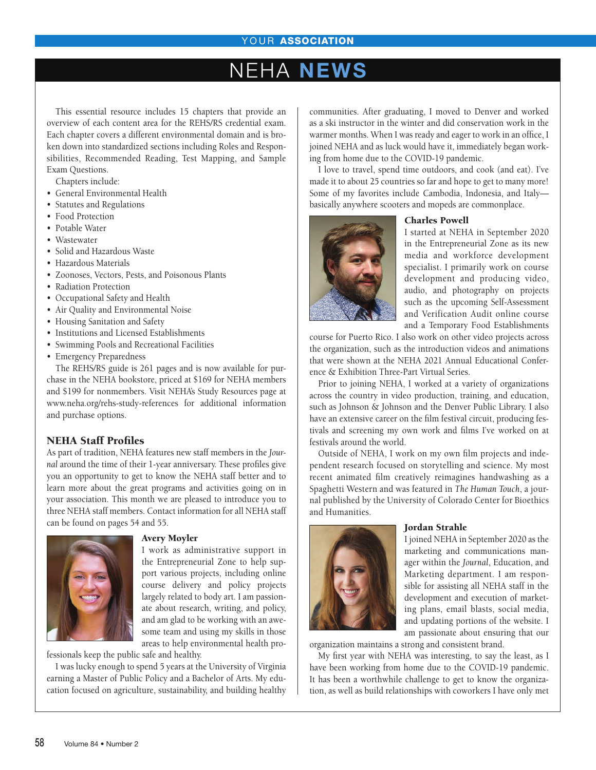# **EHA NEWS**

This essential resource includes 15 chapters that provide an overview of each content area for the REHS/RS credential exam. Each chapter covers a different environmental domain and is broken down into standardized sections including Roles and Responsibilities, Recommended Reading, Test Mapping, and Sample Exam Questions.

Chapters include:

- General Environmental Health
- Statutes and Regulations
- Food Protection
- Potable Water
- Wastewater
- Solid and Hazardous Waste
- Hazardous Materials
- Zoonoses, Vectors, Pests, and Poisonous Plants
- Radiation Protection
- Occupational Safety and Health
- Air Quality and Environmental Noise
- Housing Sanitation and Safety
- Institutions and Licensed Establishments
- Swimming Pools and Recreational Facilities
- Emergency Preparedness

The REHS/RS guide is 261 pages and is now available for purchase in the NEHA bookstore, priced at \$169 for NEHA members and \$199 for nonmembers. Visit NEHA's Study Resources page at www.neha.org/rehs-study-references for additional information and purchase options.

### NEHA Staff Profiles

As part of tradition, NEHA features new staff members in the *Journal* around the time of their 1-year anniversary. These profiles give you an opportunity to get to know the NEHA staff better and to learn more about the great programs and activities going on in your association. This month we are pleased to introduce you to three NEHA staff members. Contact information for all NEHA staff can be found on pages 54 and 55.



#### Avery Moyler

I work as administrative support in the Entrepreneurial Zone to help support various projects, including online course delivery and policy projects largely related to body art. I am passionate about research, writing, and policy, and am glad to be working with an awesome team and using my skills in those areas to help environmental health pro-

fessionals keep the public safe and healthy.

I was lucky enough to spend 5 years at the University of Virginia earning a Master of Public Policy and a Bachelor of Arts. My education focused on agriculture, sustainability, and building healthy communities. After graduating, I moved to Denver and worked as a ski instructor in the winter and did conservation work in the warmer months. When I was ready and eager to work in an office, I joined NEHA and as luck would have it, immediately began working from home due to the COVID-19 pandemic.

I love to travel, spend time outdoors, and cook (and eat). I've made it to about 25 countries so far and hope to get to many more! Some of my favorites include Cambodia, Indonesia, and Italy basically anywhere scooters and mopeds are commonplace.



#### Charles Powell

I started at NEHA in September 2020 in the Entrepreneurial Zone as its new media and workforce development specialist. I primarily work on course development and producing video, audio, and photography on projects such as the upcoming Self-Assessment and Verification Audit online course and a Temporary Food Establishments

course for Puerto Rico. I also work on other video projects across the organization, such as the introduction videos and animations that were shown at the NEHA 2021 Annual Educational Conference & Exhibition Three-Part Virtual Series.

Prior to joining NEHA, I worked at a variety of organizations across the country in video production, training, and education, such as Johnson & Johnson and the Denver Public Library. I also have an extensive career on the film festival circuit, producing festivals and screening my own work and films I've worked on at festivals around the world.

Outside of NEHA, I work on my own film projects and independent research focused on storytelling and science. My most recent animated film creatively reimagines handwashing as a Spaghetti Western and was featured in *The Human Touch*, a journal published by the University of Colorado Center for Bioethics and Humanities.



#### Jordan Strahle

I joined NEHA in September 2020 as the marketing and communications manager within the *Journal*, Education, and Marketing department. I am responsible for assisting all NEHA staff in the development and execution of marketing plans, email blasts, social media, and updating portions of the website. I am passionate about ensuring that our

organization maintains a strong and consistent brand.

My first year with NEHA was interesting, to say the least, as I have been working from home due to the COVID-19 pandemic. It has been a worthwhile challenge to get to know the organization, as well as build relationships with coworkers I have only met